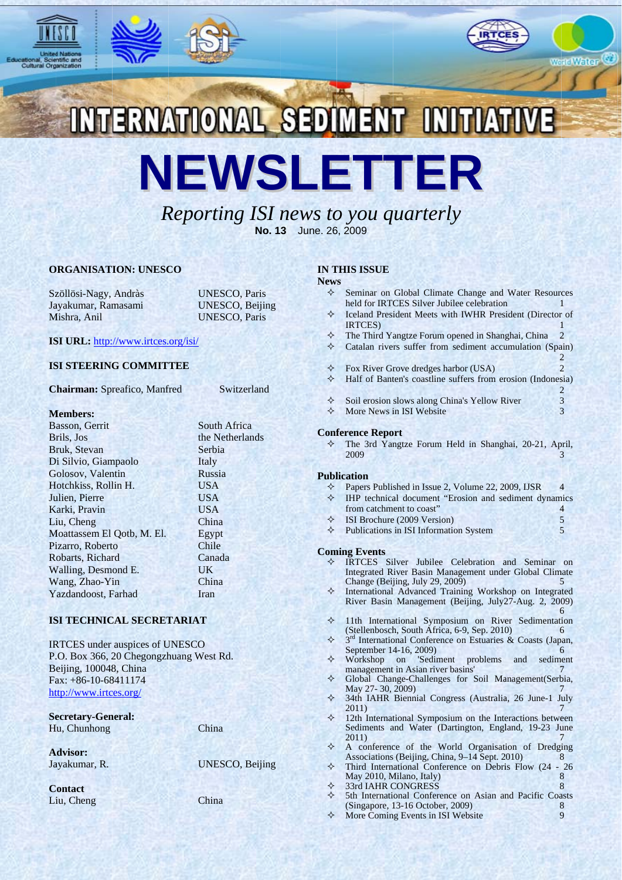





World Water

 $\mathcal{D}$ 

ERNATIONAL SEDIMENT INITIATIV NEWSLETTER

# Reporting ISI news to you quarterly No. 13 June. 26, 2009

### **ORGANISATION: UNESCO**

Szöllösi-Nagy, Andràs Jayakumar, Ramasami Mishra, Anil

**UNESCO, Paris UNESCO, Beijing UNESCO**. Paris

Switzerland

## ISI URL: http://www.irtces.org/isi/

### **ISI STEERING COMMITTEE**

**Chairman: Spreafico, Manfred** 

#### **Members:**

| South Africa    |
|-----------------|
| the Netherlands |
| Serbia          |
| Italy           |
| Russia          |
| <b>USA</b>      |
| <b>USA</b>      |
| <b>USA</b>      |
| China           |
| Egypt           |
| Chile           |
| Canada          |
| UK              |
| China           |
| Iran            |
|                 |

## **ISI TECHNICAL SECRETARIAT**

IRTCES under auspices of UNESCO P.O. Box 366, 20 Chegongzhuang West Rd. Beijing, 100048, China Fax: +86-10-68411174 http://www.irtces.org/

**Secretary-General:** Hu, Chunhong

China

**Advisor:** Jayakumar, R.

**Contact** Liu, Cheng

**UNESCO, Beijing** 

China

### **IN THIS ISSUE**

#### **News**

- Seminar on Global Climate Change and Water Resources  $\leftrightarrow$ held for IRTCES Silver Jubilee celebration
- Iceland President Meets with IWHR President (Director of **IRTCES**
- ♦ The Third Yangtze Forum opened in Shanghai, China  $\mathcal{D}$
- ♦ Catalan rivers suffer from sediment accumulation (Spain)  $\mathcal{L}$
- $\rightarrow$ Fox River Grove dredges harbor (USA)
- ♦ Half of Banten's coastline suffers from erosion (Indonesia)  $\overline{2}$
- ♦ Soil erosion slows along China's Yellow River  $\mathfrak{Z}$
- $\rightarrow$ More News in ISI Website  $\overline{3}$

#### **Conference Report**

The 3rd Yangtze Forum Held in Shanghai, 20-21, April, ♦ 2009

#### **Publication**

- $\rightsquigarrow$ Papers Published in Issue 2, Volume 22, 2009, IJSR  $\overline{4}$
- ❖ IHP technical document "Erosion and sediment dynamics from catchment to coast"  $\Delta$
- ⊀ ISI Brochure (2009 Version) 5 5
- $\Diamond$  Publications in ISI Information System

#### **Coming Events**

♦

- IRTCES Silver Jubilee Celebration and Seminar on Integrated River Basin Management under Global Climate Change (Beijing, July 29, 2009)  $\leq$
- International Advanced Training Workshop on Integrated ♦ River Basin Management (Beijing, July27-Aug. 2, 2009)
- ⇖ 11th International Symposium on River Sedimentation (Stellenbosch, South Africa, 6-9, Sep. 2010) 6
- ♦ 3<sup>rd</sup> International Conference on Estuaries & Coasts (Japan, September 14-16, 2009) 6
- ❖ Workshop on 'Sediment problems and sediment management in Asian river basins'
- ♦ Global Change-Challenges for Soil Management(Serbia, May 27-30, 2009)
- 34th IAHR Biennial Congress (Australia, 26 June-1 July ❖  $2011)$
- ♦ 12th International Symposium on the Interactions between Sediments and Water (Dartington, England, 19-23 June  $2011$
- ⊀ A conference of the World Organisation of Dredging Associations (Beijing, China, 9-14 Sept. 2010)  $\mathbf{R}$ ⊀ Third International Conference on Debris Flow (24 - 26
	- May 2010, Milano, Italy) 8 33rd IAHR CONGRESS 8
	-
- 5th International Conference on Asian and Pacific Coasts ♦ (Singapore, 13-16 October, 2009) 8 ⊀ More Coming Events in ISI Website  $\overline{Q}$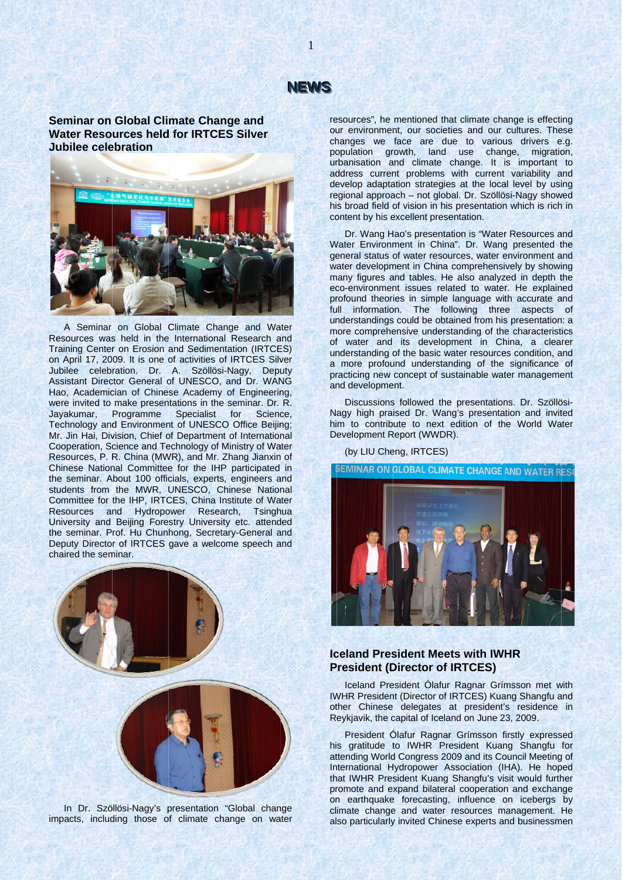# **NEWS**

 $\mathbf{1}$ 

Seminar on Global Climate Change and **Water Resources held for IRTCES Silver** Jubilee celebration



A Seminar on Global Climate Change and Water Resources was held in the International Research and Training Center on Erosion and Sedimentation (IRTCES) on April 17, 2009. It is one of activities of IRTCES Silver Jubilee celebration. Dr. A. Szöllösi-Nagy, Deputy Assistant Director General of UNESCO, and Dr. WANG Hao, Academician of Chinese Academy of Engineering, were invited to make presentations in the seminar. Dr. R. Javakumar. Programme Specialist for Science Technology and Environment of UNESCO Office Beijing; Mr. Jin Hai, Division, Chief of Department of International Cooperation, Science and Technology of Ministry of Water Resources, P. R. China (MWR), and Mr. Zhang Jianxin of Chinese National Committee for the IHP participated in the seminar. About 100 officials, experts, engineers and students from the MWR, UNESCO, Chinese National Committee for the IHP, IRTCES, China Institute of Water Resources and Hydropower Research, Tsinghua University and Beijing Forestry University etc. attended the seminar. Prof. Hu Chunhong, Secretary-General and Deputy Director of IRTCES gave a welcome speech and chaired the seminar.



In Dr. Szöllösi-Nagy's presentation "Global change impacts, including those of climate change on water

resources", he mentioned that climate change is effecting our environment, our societies and our cultures. These cal environment, our occidence and our candred. These<br>changes we face are due to various drivers e.g.<br>population growth, land use change, migration,<br>urbanisation and climate change. It is important to address current problems with current variability and develop adaptation strategies at the local level by using regional approach - not global. Dr. Szöllösi-Nagy showed his broad field of vision in his presentation which is rich in content by his excellent presentation.

Dr. Wang Hao's presentation is "Water Resources and Water Environment in China". Dr. Wang presented the general status of water resources, water environment and water development in China comprehensively by showing many figures and tables. He also analyzed in depth the eco-environment issues related to water. He explained profound theories in simple language with accurate and full information. The following three aspects of understandings could be obtained from his presentation: a more comprehensive understanding of the characteristics of water and its development in China, a clearer understanding of the basic water resources condition, and a more profound understanding of the significance of practicing new concept of sustainable water management and development.

Discussions followed the presentations. Dr. Szöllösi-Nagy high praised Dr. Wang's presentation and invited him to contribute to next edition of the World Water Development Report (WWDR).

(by LIU Cheng, IRTCES)

**SEMINAR ON GLOBAL CLIMATE CHANGE AND WATER RESO** 



## **Iceland President Meets with IWHR President (Director of IRTCES)**

Iceland President Ólafur Ragnar Grímsson met with IWHR President (Director of IRTCES) Kuang Shangfu and other Chinese delegates at president's residence in Reykjavik, the capital of Iceland on June 23, 2009.

President Ólafur Ragnar Grímsson firstly expressed his gratitude to IWHR President Kuang Shangfu for attending World Congress 2009 and its Council Meeting of International Hydropower Association (IHA). He hoped that IWHR President Kuang Shangfu's visit would further promote and expand bilateral cooperation and exchange on earthquake forecasting, influence on icebergs by climate change and water resources management. He also particularly invited Chinese experts and businessmen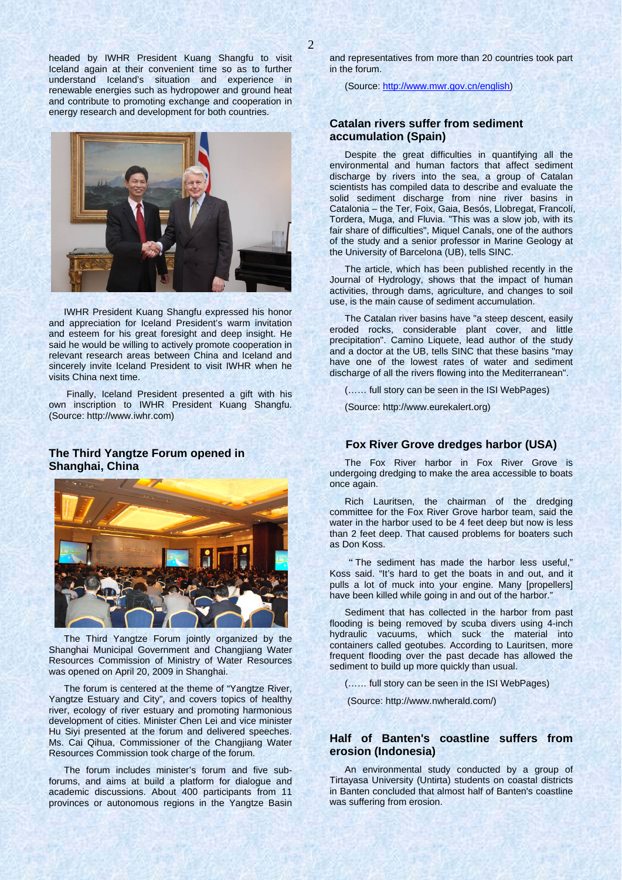headed by IWHR President Kuang Shangfu to visit Iceland again at their convenient time so as to further understand Iceland's situation and experience in renewable energies such as hydropower and ground heat and contribute to promoting exchange and cooperation in energy research and development for both countries.



IWHR President Kuang Shangfu expressed his honor and appreciation for Iceland President's warm invitation and esteem for his great foresight and deep insight. He said he would be willing to actively promote cooperation in relevant research areas between China and Iceland and sincerely invite Iceland President to visit IWHR when he visits China next time.

 Finally, Iceland President presented a gift with his own inscription to IWHR President Kuang Shangfu. (Source: http://www.iwhr.com)

# **The Third Yangtze Forum opened in Shanghai, China**



The Third Yangtze Forum jointly organized by the Shanghai Municipal Government and Changjiang Water Resources Commission of Ministry of Water Resources was opened on April 20, 2009 in Shanghai.

The forum is centered at the theme of "Yangtze River, Yangtze Estuary and City", and covers topics of healthy river, ecology of river estuary and promoting harmonious development of cities. Minister Chen Lei and vice minister Hu Siyi presented at the forum and delivered speeches. Ms. Cai Qihua, Commissioner of the Changjiang Water Resources Commission took charge of the forum.

The forum includes minister's forum and five subforums, and aims at build a platform for dialogue and academic discussions. About 400 participants from 11 provinces or autonomous regions in the Yangtze Basin

and representatives from more than 20 countries took part in the forum.

(Source: http://www.mwr.gov.cn/english)

## **Catalan rivers suffer from sediment accumulation (Spain)**

Despite the great difficulties in quantifying all the environmental and human factors that affect sediment discharge by rivers into the sea, a group of Catalan scientists has compiled data to describe and evaluate the solid sediment discharge from nine river basins in Catalonia – the Ter, Foix, Gaia, Besós, Llobregat, Francolí, Tordera, Muga, and Fluvia. "This was a slow job, with its fair share of difficulties", Miquel Canals, one of the authors of the study and a senior professor in Marine Geology at the University of Barcelona (UB), tells SINC.

The article, which has been published recently in the Journal of Hydrology, shows that the impact of human activities, through dams, agriculture, and changes to soil use, is the main cause of sediment accumulation.

The Catalan river basins have "a steep descent, easily eroded rocks, considerable plant cover, and little precipitation". Camino Liquete, lead author of the study and a doctor at the UB, tells SINC that these basins "may have one of the lowest rates of water and sediment discharge of all the rivers flowing into the Mediterranean".

(…… full story can be seen in the ISI WebPages)

(Source: http://www.eurekalert.org)

## **Fox River Grove dredges harbor (USA)**

The Fox River harbor in Fox River Grove is undergoing dredging to make the area accessible to boats once again.

Rich Lauritsen, the chairman of the dredging committee for the Fox River Grove harbor team, said the water in the harbor used to be 4 feet deep but now is less than 2 feet deep. That caused problems for boaters such as Don Koss.

"The sediment has made the harbor less useful," Koss said. "It's hard to get the boats in and out, and it pulls a lot of muck into your engine. Many [propellers] have been killed while going in and out of the harbor."

Sediment that has collected in the harbor from past flooding is being removed by scuba divers using 4-inch hydraulic vacuums, which suck the material into containers called geotubes. According to Lauritsen, more frequent flooding over the past decade has allowed the sediment to build up more quickly than usual.

(…… full story can be seen in the ISI WebPages)

(Source: http://www.nwherald.com/)

## **Half of Banten's coastline suffers from erosion (Indonesia)**

An environmental study conducted by a group of Tirtayasa University (Untirta) students on coastal districts in Banten concluded that almost half of Banten's coastline was suffering from erosion.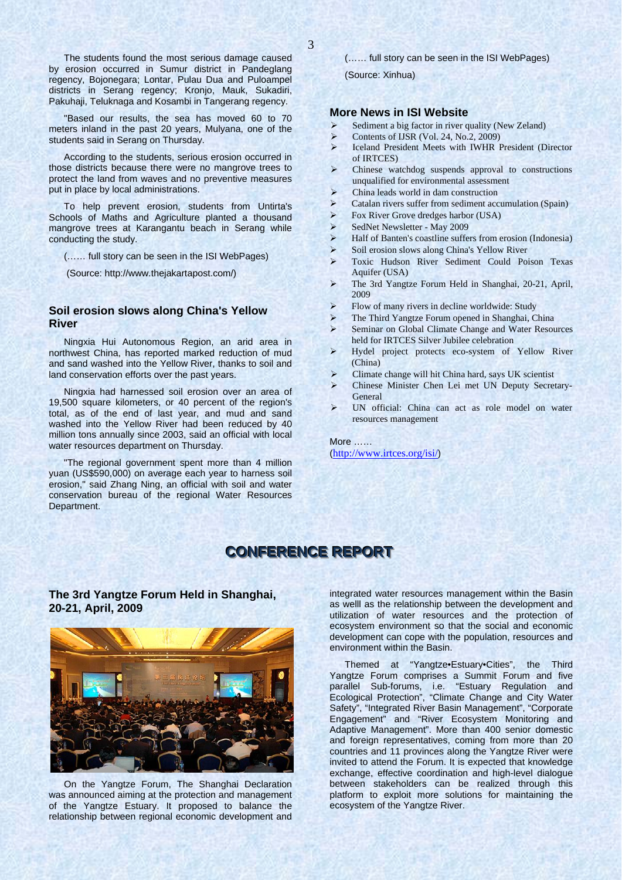The students found the most serious damage caused by erosion occurred in Sumur district in Pandeglang regency, Bojonegara; Lontar, Pulau Dua and Puloampel districts in Serang regency; Kronjo, Mauk, Sukadiri, Pakuhaji, Teluknaga and Kosambi in Tangerang regency.

"Based our results, the sea has moved 60 to 70 meters inland in the past 20 years, Mulyana, one of the students said in Serang on Thursday.

According to the students, serious erosion occurred in those districts because there were no mangrove trees to protect the land from waves and no preventive measures put in place by local administrations.

To help prevent erosion, students from Untirta's Schools of Maths and Agriculture planted a thousand mangrove trees at Karangantu beach in Serang while conducting the study.

(…… full story can be seen in the ISI WebPages)

(Source: http://www.thejakartapost.com/)

## **Soil erosion slows along China's Yellow River**

Ningxia Hui Autonomous Region, an arid area in northwest China, has reported marked reduction of mud and sand washed into the Yellow River, thanks to soil and land conservation efforts over the past years.

Ningxia had harnessed soil erosion over an area of 19,500 square kilometers, or 40 percent of the region's total, as of the end of last year, and mud and sand washed into the Yellow River had been reduced by 40 million tons annually since 2003, said an official with local water resources department on Thursday.

"The regional government spent more than 4 million yuan (US\$590,000) on average each year to harness soil erosion," said Zhang Ning, an official with soil and water conservation bureau of the regional Water Resources Department.

(…… full story can be seen in the ISI WebPages)

(Source: Xinhua)

## **More News in ISI Website**

- Sediment a big factor in river quality (New Zeland)
- ¾ Contents of IJSR (Vol. 24, No.2, 2009)
- ¾ Iceland President Meets with IWHR President (Director of IRTCES)
- Chinese watchdog suspends approval to constructions unqualified for environmental assessment
- ¾ China leads world in dam construction
- $\triangleright$  Catalan rivers suffer from sediment accumulation (Spain)
- ¾ Fox River Grove dredges harbor (USA)
- SedNet Newsletter May 2009
- ¾ Half of Banten's coastline suffers from erosion (Indonesia)
- Soil erosion slows along China's Yellow River
- ¾ Toxic Hudson River Sediment Could Poison Texas Aquifer (USA)
- ¾ The 3rd Yangtze Forum Held in Shanghai, 20-21, April, 2009
- ¾ Flow of many rivers in decline worldwide: Study
- The Third Yangtze Forum opened in Shanghai, China
- Seminar on Global Climate Change and Water Resources held for IRTCES Silver Jubilee celebration
- ¾ Hydel project protects eco-system of Yellow River (China)
- ¾ Climate change will hit China hard, says UK scientist
- ¾ Chinese Minister Chen Lei met UN Deputy Secretary-General
- ¾ UN official: China can act as role model on water resources management

More …… (http://www.irtces.org/isi/)

# **CONFERENCE REPORT**

**The 3rd Yangtze Forum Held in Shanghai, 20-21, April, 2009** 



On the Yangtze Forum, The Shanghai Declaration was announced aiming at the protection and management of the Yangtze Estuary. It proposed to balance the relationship between regional economic development and integrated water resources management within the Basin as welll as the relationship between the development and utilization of water resources and the protection of ecosystem environment so that the social and economic development can cope with the population, resources and environment within the Basin.

Themed at "Yangtze•Estuary•Cities", the Third Yangtze Forum comprises a Summit Forum and five parallel Sub-forums, i.e. "Estuary Regulation and Ecological Protection", "Climate Change and City Water Safety", "Integrated River Basin Management", "Corporate Engagement" and "River Ecosystem Monitoring and Adaptive Management". More than 400 senior domestic and foreign representatives, coming from more than 20 countries and 11 provinces along the Yangtze River were invited to attend the Forum. It is expected that knowledge exchange, effective coordination and high-level dialogue between stakeholders can be realized through this platform to exploit more solutions for maintaining the ecosystem of the Yangtze River.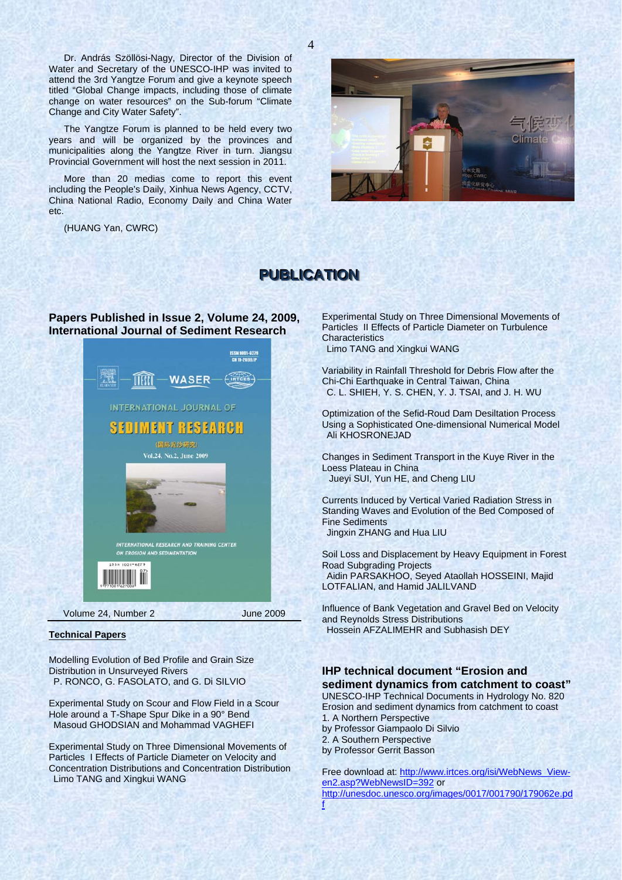Dr. András Szöllösi-Nagy, Director of the Division of Water and Secretary of the UNESCO-IHP was invited to attend the 3rd Yangtze Forum and give a keynote speech titled "Global Change impacts, including those of climate change on water resources" on the Sub-forum "Climate Change and City Water Safety".

The Yangtze Forum is planned to be held every two years and will be organized by the provinces and municipalities along the Yangtze River in turn. Jiangsu Provincial Government will host the next session in 2011.

More than 20 medias come to report this event including the People's Daily, Xinhua News Agency, CCTV, China National Radio, Economy Daily and China Water etc.

(HUANG Yan, CWRC)



# **PUBLICATION**

## **Papers Published in Issue 2, Volume 24, 2009, International Journal of Sediment Research**



#### **Technical Papers**

Modelling Evolution of Bed Profile and Grain Size Distribution in Unsurveyed Rivers P. RONCO, G. FASOLATO, and G. Di SILVIO

Experimental Study on Scour and Flow Field in a Scour Hole around a T-Shape Spur Dike in a 90° Bend Masoud GHODSIAN and Mohammad VAGHEFI

Experimental Study on Three Dimensional Movements of Particles I Effects of Particle Diameter on Velocity and Concentration Distributions and Concentration Distribution Limo TANG and Xingkui WANG

Experimental Study on Three Dimensional Movements of Particles II Effects of Particle Diameter on Turbulence **Characteristics** Limo TANG and Xingkui WANG

Variability in Rainfall Threshold for Debris Flow after the Chi-Chi Earthquake in Central Taiwan, China C. L. SHIEH, Y. S. CHEN, Y. J. TSAI, and J. H. WU

Optimization of the Sefid-Roud Dam Desiltation Process Using a Sophisticated One-dimensional Numerical Model Ali KHOSRONEJAD

Changes in Sediment Transport in the Kuye River in the Loess Plateau in China Jueyi SUI, Yun HE, and Cheng LIU

Currents Induced by Vertical Varied Radiation Stress in Standing Waves and Evolution of the Bed Composed of Fine Sediments Jingxin ZHANG and Hua LIU

Soil Loss and Displacement by Heavy Equipment in Forest Road Subgrading Projects Aidin PARSAKHOO, Seyed Ataollah HOSSEINI, Majid

LOTFALIAN, and Hamid JALILVAND

Influence of Bank Vegetation and Gravel Bed on Velocity and Reynolds Stress Distributions Hossein AFZALIMEHR and Subhasish DEY

# **IHP technical document "Erosion and sediment dynamics from catchment to coast"**

UNESCO-IHP Technical Documents in Hydrology No. 820 Erosion and sediment dynamics from catchment to coast 1. A Northern Perspective by Professor Giampaolo Di Silvio 2. A Southern Perspective by Professor Gerrit Basson

Free download at: http://www.irtces.org/isi/WebNews\_Viewen2.asp?WebNewsID=392 or http://unesdoc.unesco.org/images/0017/001790/179062e.pd f

4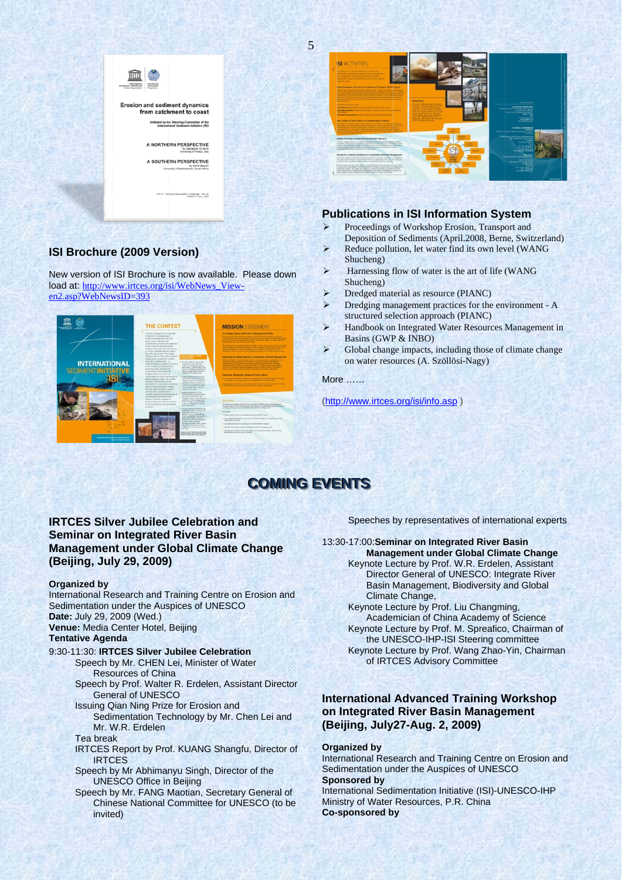

# ISI Brochure (2009 Version)

New version of ISI Brochure is now available. Please down load at: http://www.irtces.org/isi/WebNews Viewen2.asp?WebNewsID=393





# **Publications in ISI Information System**

- $\blacktriangleright$ Proceedings of Workshop Erosion, Transport and
- Deposition of Sediments (April.2008, Berne, Switzerland) Reduce pollution, let water find its own level (WANG  $\triangleright$
- Shucheng)  $\blacktriangleright$ Harnessing flow of water is the art of life (WANG
- Shucheng) Dredged material as resource (PIANC)
- $\triangleright$ Dredging management practices for the environment - A structured selection approach (PIANC)
- $\blacktriangleright$ Handbook on Integrated Water Resources Management in Basins (GWP & INBO)
- $\blacktriangleright$ Global change impacts, including those of climate change on water resources (A. Szöllösi-Nagy)

More ......

(http://www.irtces.org/isi/info.asp)

# **COMING EVENTS**

# **IRTCES Silver Jubilee Celebration and Seminar on Integrated River Basin Management under Global Climate Change** (Beijing, July 29, 2009)

#### **Organized by**

International Research and Training Centre on Erosion and Sedimentation under the Auspices of UNESCO Date: July 29, 2009 (Wed.)

Venue: Media Center Hotel, Beijing **Tentative Agenda** 

- 9:30-11:30: IRTCES Silver Jubilee Celebration Speech by Mr. CHEN Lei, Minister of Water **Resources of China** 
	- Speech by Prof. Walter R. Erdelen, Assistant Director **General of UNESCO**
	- Issuing Qian Ning Prize for Erosion and Sedimentation Technology by Mr. Chen Lei and Mr. W.R. Erdelen
	- Tea break
	- IRTCES Report by Prof. KUANG Shangfu, Director of **IRTCES**
	- Speech by Mr Abhimanyu Singh, Director of the **UNESCO Office in Beijing**
	- Speech by Mr. FANG Maotian, Secretary General of Chinese National Committee for UNESCO (to be invited)

Speeches by representatives of international experts

#### 13:30-17:00: Seminar on Integrated River Basin **Management under Global Climate Change**

Keynote Lecture by Prof. W.R. Erdelen, Assistant Director General of UNESCO: Integrate River Basin Management, Biodiversity and Global Climate Change,

Keynote Lecture by Prof. Liu Changming, Academician of China Academy of Science Keynote Lecture by Prof. M. Spreafico, Chairman of the UNESCO-IHP-ISI Steering committee Keynote Lecture by Prof. Wang Zhao-Yin, Chairman of IRTCES Advisory Committee

# **International Advanced Training Workshop** on Integrated River Basin Management (Beijing, July27-Aug. 2, 2009)

## **Organized by**

International Research and Training Centre on Erosion and Sedimentation under the Auspices of UNESCO **Sponsored by** International Sedimentation Initiative (ISI)-UNESCO-IHP Ministry of Water Resources, P.R. China **Co-sponsored by** 

5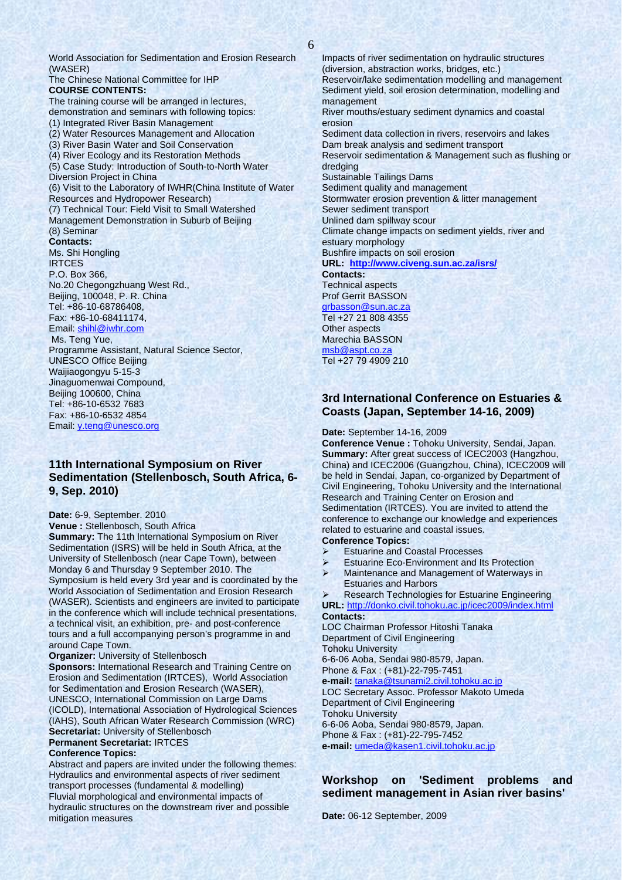The Chinese National Committee for IHP **COURSE CONTENTS:** The training course will be arranged in lectures, demonstration and seminars with following topics: (1) Integrated River Basin Management (2) Water Resources Management and Allocation

(3) River Basin Water and Soil Conservation

(4) River Ecology and its Restoration Methods

(5) Case Study: Introduction of South-to-North Water Diversion Project in China

(6) Visit to the Laboratory of IWHR(China Institute of Water Resources and Hydropower Research)

(7) Technical Tour: Field Visit to Small Watershed Management Demonstration in Suburb of Beijing (8) Seminar **Contacts:** Ms. Shi Hongling **IRTCES** P.O. Box 366, No.20 Chegongzhuang West Rd.,

Beijing, 100048, P. R. China Tel: +86-10-68786408, Fax: +86-10-68411174,

Email: shihl@iwhr.com

Ms. Teng Yue,

Programme Assistant, Natural Science Sector, UNESCO Office Beijing Waijiaogongyu 5-15-3

Jinaguomenwai Compound, Beijing 100600, China

Tel: +86-10-6532 7683 Fax: +86-10-6532 4854

Email: y.teng@unesco.org

# **11th International Symposium on River Sedimentation (Stellenbosch, South Africa, 6- 9, Sep. 2010)**

## **Date:** 6-9, September. 2010

**Venue :** Stellenbosch, South Africa

**Summary:** The 11th International Symposium on River Sedimentation (ISRS) will be held in South Africa, at the University of Stellenbosch (near Cape Town), between Monday 6 and Thursday 9 September 2010. The Symposium is held every 3rd year and is coordinated by the World Association of Sedimentation and Erosion Research (WASER). Scientists and engineers are invited to participate in the conference which will include technical presentations, a technical visit, an exhibition, pre- and post-conference tours and a full accompanying person's programme in and around Cape Town.

**Organizer:** University of Stellenbosch

**Sponsors: International Research and Training Centre on** Erosion and Sedimentation (IRTCES), World Association for Sedimentation and Erosion Research (WASER), UNESCO, International Commission on Large Dams (ICOLD), International Association of Hydrological Sciences (IAHS), South African Water Research Commission (WRC) **Secretariat:** University of Stellenbosch

**Permanent Secretariat:** IRTCES

## **Conference Topics:**

Abstract and papers are invited under the following themes: Hydraulics and environmental aspects of river sediment transport processes (fundamental & modelling) Fluvial morphological and environmental impacts of hydraulic structures on the downstream river and possible mitigation measures

Impacts of river sedimentation on hydraulic structures (diversion, abstraction works, bridges, etc.) Reservoir/lake sedimentation modelling and management Sediment yield, soil erosion determination, modelling and management River mouths/estuary sediment dynamics and coastal erosion Sediment data collection in rivers, reservoirs and lakes Dam break analysis and sediment transport Reservoir sedimentation & Management such as flushing or dredging Sustainable Tailings Dams Sediment quality and management Stormwater erosion prevention & litter management Sewer sediment transport Unlined dam spillway scour Climate change impacts on sediment yields, river and estuary morphology Bushfire impacts on soil erosion **URL: http://www.civeng.sun.ac.za/isrs/ Contacts:**  Technical aspects Prof Gerrit BASSON grbasson@sun.ac.za Tel +27 21 808 4355 Other aspects Marechia BASSON msb@aspt.co.za Tel +27 79 4909 210

# **3rd International Conference on Estuaries & Coasts (Japan, September 14-16, 2009)**

### **Date:** September 14-16, 2009

**Conference Venue :** Tohoku University, Sendai, Japan. **Summary:** After great success of ICEC2003 (Hangzhou, China) and ICEC2006 (Guangzhou, China), ICEC2009 will be held in Sendai, Japan, co-organized by Department of Civil Engineering, Tohoku University and the International Research and Training Center on Erosion and Sedimentation (IRTCES). You are invited to attend the conference to exchange our knowledge and experiences related to estuarine and coastal issues.

## **Conference Topics:**

- **Estuarine and Coastal Processes**
- 
- ¾ Estuarine Eco-Environment and Its Protection Maintenance and Management of Waterways in Estuaries and Harbors

¾ Research Technologies for Estuarine Engineering **URL:** http://donko.civil.tohoku.ac.jp/icec2009/index.html **Contacts:**

LOC Chairman Professor Hitoshi Tanaka Department of Civil Engineering Tohoku University 6-6-06 Aoba, Sendai 980-8579, Japan.

Phone & Fax : (+81)-22-795-7451 **e-mail:** tanaka@tsunami2.civil.tohoku.ac.jp

LOC Secretary Assoc. Professor Makoto Umeda Department of Civil Engineering

Tohoku University

6-6-06 Aoba, Sendai 980-8579, Japan. Phone & Fax : (+81)-22-795-7452

**e-mail:** umeda@kasen1.civil.tohoku.ac.jp

# **Workshop on 'Sediment problems and sediment management in Asian river basins'**

**Date:** 06-12 September, 2009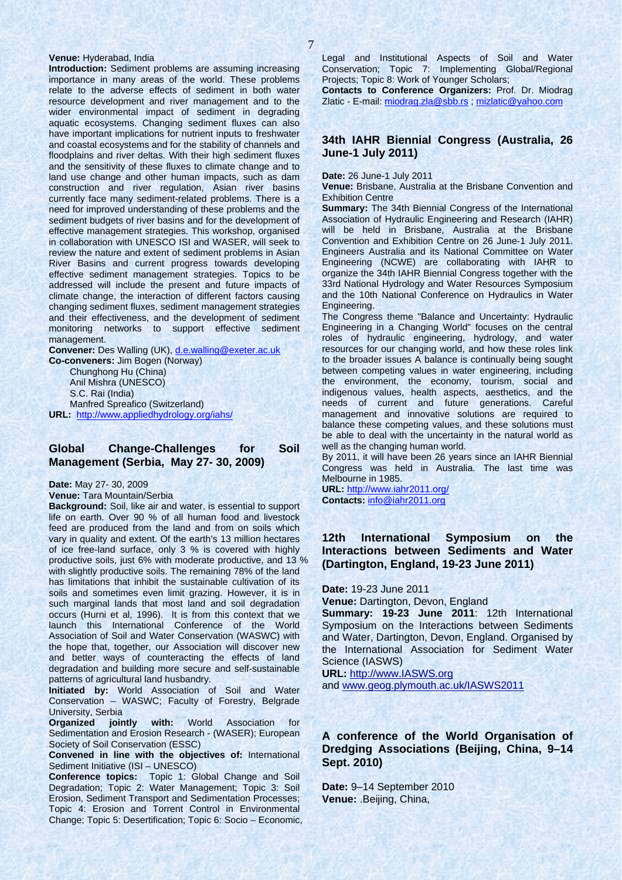#### **Venue:** Hyderabad, India

**Introduction:** Sediment problems are assuming increasing importance in many areas of the world. These problems relate to the adverse effects of sediment in both water resource development and river management and to the wider environmental impact of sediment in degrading aquatic ecosystems. Changing sediment fluxes can also have important implications for nutrient inputs to freshwater and coastal ecosystems and for the stability of channels and floodplains and river deltas. With their high sediment fluxes and the sensitivity of these fluxes to climate change and to land use change and other human impacts, such as dam construction and river regulation, Asian river basins currently face many sediment-related problems. There is a need for improved understanding of these problems and the sediment budgets of river basins and for the development of effective management strategies. This workshop, organised in collaboration with UNESCO ISI and WASER, will seek to review the nature and extent of sediment problems in Asian River Basins and current progress towards developing effective sediment management strategies. Topics to be addressed will include the present and future impacts of climate change, the interaction of different factors causing changing sediment fluxes, sediment management strategies and their effectiveness, and the development of sediment monitoring networks to support effective sediment management.

Convener: Des Walling (UK), d.e.walling@exeter.ac.uk **Co-conveners:** Jim Bogen (Norway) Chunghong Hu (China) Anil Mishra (UNESCO) S.C. Rai (India) Manfred Spreafico (Switzerland)

**URL:** http://www.appliedhydrology.org/iahs/

## **Global Change-Challenges for Soil Management (Serbia, May 27- 30, 2009)**

**Date:** May 27- 30, 2009

**Venue:** Tara Mountain/Serbia

**Background:** Soil, like air and water, is essential to support life on earth. Over 90 % of all human food and livestock feed are produced from the land and from on soils which vary in quality and extent. Of the earth's 13 million hectares of ice free-land surface, only 3 % is covered with highly productive soils, just 6% with moderate productive, and 13 % with slightly productive soils. The remaining 78% of the land has limitations that inhibit the sustainable cultivation of its soils and sometimes even limit grazing. However, it is in such marginal lands that most land and soil degradation occurs (Hurni et al, 1996). It is from this context that we launch this International Conference of the World Association of Soil and Water Conservation (WASWC) with the hope that, together, our Association will discover new and better ways of counteracting the effects of land degradation and building more secure and self-sustainable patterns of agricultural land husbandry.

**Initiated by:** World Association of Soil and Water Conservation – WASWC; Faculty of Forestry, Belgrade University, Serbia

**Organized jointly with:** World Association for Sedimentation and Erosion Research - (WASER); European Society of Soil Conservation (ESSC)

**Convened in line with the objectives of:** International Sediment Initiative (ISI – UNESCO)

**Conference topics:** Topic 1: Global Change and Soil Degradation; Topic 2: Water Management; Topic 3: Soil Erosion, Sediment Transport and Sedimentation Processes; Topic 4: Erosion and Torrent Control in Environmental Change; Topic 5: Desertification; Topic 6: Socio – Economic,

Legal and Institutional Aspects of Soil and Water Conservation; Topic 7: Implementing Global/Regional Projects; Topic 8: Work of Younger Scholars;

**Contacts to Conference Organizers:** Prof. Dr. Miodrag Zlatic - E-mail: miodrag.zla@sbb.rs ; mizlatic@yahoo.com

## **34th IAHR Biennial Congress (Australia, 26 June-1 July 2011)**

**Date:** 26 June-1 July 2011

**Venue:** Brisbane, Australia at the Brisbane Convention and Exhibition Centre

**Summary:** The 34th Biennial Congress of the International Association of Hydraulic Engineering and Research (IAHR) will be held in Brisbane, Australia at the Brisbane Convention and Exhibition Centre on 26 June-1 July 2011. Engineers Australia and its National Committee on Water Engineering (NCWE) are collaborating with IAHR to organize the 34th IAHR Biennial Congress together with the 33rd National Hydrology and Water Resources Symposium and the 10th National Conference on Hydraulics in Water Engineering.

The Congress theme "Balance and Uncertainty: Hydraulic Engineering in a Changing World" focuses on the central roles of hydraulic engineering, hydrology, and water resources for our changing world, and how these roles link to the broader issues A balance is continually being sought between competing values in water engineering, including the environment, the economy, tourism, social and indigenous values, health aspects, aesthetics, and the needs of current and future generations. Careful management and innovative solutions are required to balance these competing values, and these solutions must be able to deal with the uncertainty in the natural world as well as the changing human world.

By 2011, it will have been 26 years since an IAHR Biennial Congress was held in Australia. The last time was Melbourne in 1985.

**URL:** http://www.iahr2011.org/ **Contacts:** info@iahr2011.org

# **12th International Symposium on the Interactions between Sediments and Water (Dartington, England, 19-23 June 2011)**

**Date:** 19-23 June 2011

**Venue:** Dartington, Devon, England

**Summary: 19-23 June 2011**: 12th International Symposium on the Interactions between Sediments and Water, Dartington, Devon, England. Organised by the International Association for Sediment Water Science (IASWS)

**URL:** http://www.IASWS.org

and www.geog.plymouth.ac.uk/IASWS2011

# **A conference of the World Organisation of Dredging Associations (Beijing, China, 9–14 Sept. 2010)**

**Date:** 9–14 September 2010 **Venue:** .Beijing, China,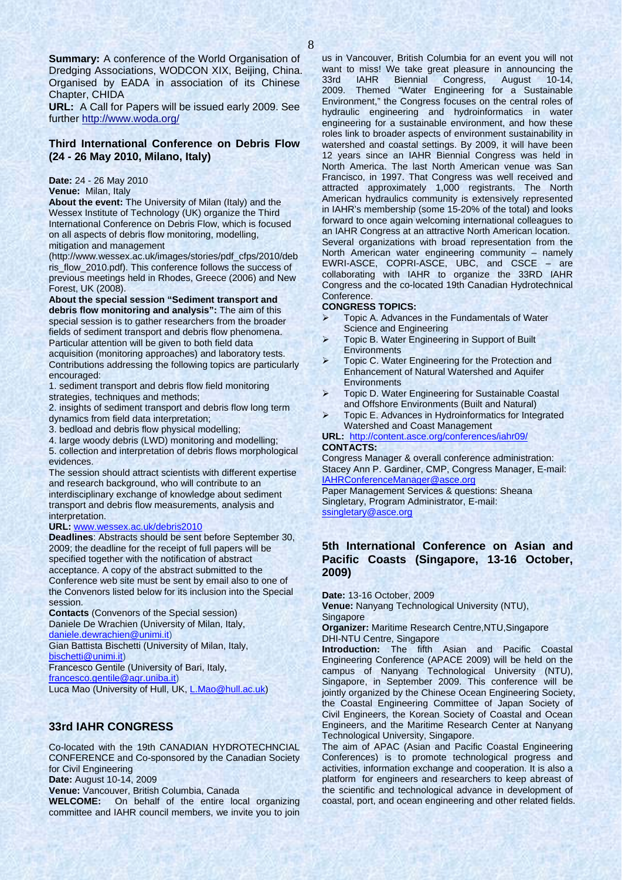**Summary:** A conference of the World Organisation of Dredging Associations, WODCON XIX, Beijing, China. Organised by EADA in association of its Chinese Chapter, CHIDA

**URL:** A Call for Papers will be issued early 2009. See further http://www.woda.org/

## **Third International Conference on Debris Flow (24 - 26 May 2010, Milano, Italy)**

#### **Date:** 24 - 26 May 2010

**Venue:** Milan, Italy

**About the event:** The University of Milan (Italy) and the Wessex Institute of Technology (UK) organize the Third International Conference on Debris Flow, which is focused on all aspects of debris flow monitoring, modelling, mitigation and management

(http://www.wessex.ac.uk/images/stories/pdf\_cfps/2010/deb ris\_flow\_2010.pdf). This conference follows the success of previous meetings held in Rhodes, Greece (2006) and New Forest, UK (2008).

**About the special session "Sediment transport and debris flow monitoring and analysis":** The aim of this special session is to gather researchers from the broader fields of sediment transport and debris flow phenomena. Particular attention will be given to both field data acquisition (monitoring approaches) and laboratory tests.

Contributions addressing the following topics are particularly encouraged:

1. sediment transport and debris flow field monitoring strategies, techniques and methods;

2. insights of sediment transport and debris flow long term dynamics from field data interpretation;

3. bedload and debris flow physical modelling;

4. large woody debris (LWD) monitoring and modelling;

5. collection and interpretation of debris flows morphological evidences.

The session should attract scientists with different expertise and research background, who will contribute to an interdisciplinary exchange of knowledge about sediment transport and debris flow measurements, analysis and interpretation.

#### **URL:** www.wessex.ac.uk/debris2010

**Deadlines**: Abstracts should be sent before September 30, 2009; the deadline for the receipt of full papers will be specified together with the notification of abstract acceptance. A copy of the abstract submitted to the Conference web site must be sent by email also to one of the Convenors listed below for its inclusion into the Special session.

**Contacts** (Convenors of the Special session) Daniele De Wrachien (University of Milan, Italy, daniele.dewrachien@unimi.it)

Gian Battista Bischetti (University of Milan, Italy, bischetti@unimi.it)

Francesco Gentile (University of Bari, Italy,

francesco.gentile@agr.uniba.it)

Luca Mao (University of Hull, UK, L.Mao@hull.ac.uk)

# **33rd IAHR CONGRESS**

Co-located with the 19th CANADIAN HYDROTECHNCIAL CONFERENCE and Co-sponsored by the Canadian Society for Civil Engineering

**Date:** August 10-14, 2009

**Venue:** Vancouver, British Columbia, Canada

**WELCOME:** On behalf of the entire local organizing committee and IAHR council members, we invite you to join us in Vancouver, British Columbia for an event you will not want to miss! We take great pleasure in announcing the 33rd IAHR Biennial Congress, August 10-14, 2009. Themed "Water Engineering for a Sustainable Environment," the Congress focuses on the central roles of hydraulic engineering and hydroinformatics in water engineering for a sustainable environment, and how these roles link to broader aspects of environment sustainability in watershed and coastal settings. By 2009, it will have been 12 years since an IAHR Biennial Congress was held in North America. The last North American venue was San Francisco, in 1997. That Congress was well received and attracted approximately 1,000 registrants. The North American hydraulics community is extensively represented in IAHR's membership (some 15-20% of the total) and looks forward to once again welcoming international colleagues to an IAHR Congress at an attractive North American location. Several organizations with broad representation from the North American water engineering community – namely EWRI-ASCE, COPRI-ASCE, UBC, and CSCE – are collaborating with IAHR to organize the 33RD IAHR Congress and the co-located 19th Canadian Hydrotechnical **Conference** 

#### **CONGRESS TOPICS:**

- $\triangleright$  Topic A. Advances in the Fundamentals of Water Science and Engineering
- ¾ Topic B. Water Engineering in Support of Built **Environments**
- ¾ Topic C. Water Engineering for the Protection and Enhancement of Natural Watershed and Aquifer **Environments**
- ¾ Topic D. Water Engineering for Sustainable Coastal and Offshore Environments (Built and Natural)
- ¾ Topic E. Advances in Hydroinformatics for Integrated Watershed and Coast Management
- **URL:** http://content.asce.org/conferences/iahr09/ **CONTACTS:**

Congress Manager & overall conference administration: Stacey Ann P. Gardiner, CMP, Congress Manager, E-mail: IAHRConferenceManager@asce.org

Paper Management Services & questions: Sheana Singletary, Program Administrator, E-mail: ssingletary@asce.org

# **5th International Conference on Asian and Pacific Coasts (Singapore, 13-16 October, 2009)**

**Date:** 13-16 October, 2009

**Venue:** Nanyang Technological University (NTU), **Singapore** 

**Organizer:** Maritime Research Centre,NTU,Singapore DHI-NTU Centre, Singapore

**Introduction:** The fifth Asian and Pacific Coastal Engineering Conference (APACE 2009) will be held on the campus of Nanyang Technological University (NTU), Singapore, in September 2009. This conference will be jointly organized by the Chinese Ocean Engineering Society, the Coastal Engineering Committee of Japan Society of Civil Engineers, the Korean Society of Coastal and Ocean Engineers, and the Maritime Research Center at Nanyang Technological University, Singapore.

The aim of APAC (Asian and Pacific Coastal Engineering Conferences) is to promote technological progress and activities, information exchange and cooperation. It is also a platform for engineers and researchers to keep abreast of the scientific and technological advance in development of coastal, port, and ocean engineering and other related fields.